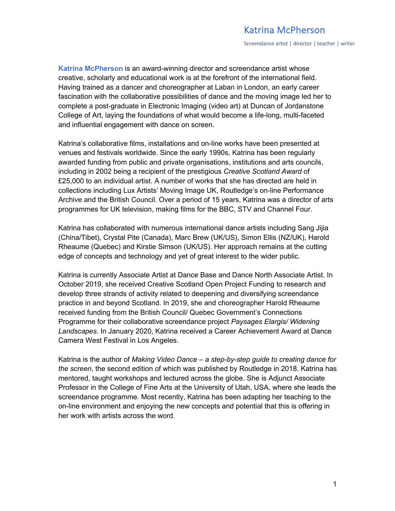Screendance artist | director | teacher | writer

**Katrina McPherson** is an award-winning director and screendance artist whose creative, scholarly and educational work is at the forefront of the international field. Having trained as a dancer and choreographer at Laban in London, an early career fascination with the collaborative possibilities of dance and the moving image led her to complete a post-graduate in Electronic Imaging (video art) at Duncan of Jordanstone College of Art, laying the foundations of what would become a life-long, multi-faceted and influential engagement with dance on screen.

Katrina's collaborative films, installations and on-line works have been presented at venues and festivals worldwide. Since the early 1990s, Katrina has been regularly awarded funding from public and private organisations, institutions and arts councils, including in 2002 being a recipient of the prestigious *Creative Scotland Award* of £25,000 to an individual artist. A number of works that she has directed are held in collections including Lux Artists' Moving Image UK, Routledge's on-line Performance Archive and the British Council. Over a period of 15 years, Katrina was a director of arts programmes for UK television, making films for the BBC, STV and Channel Four.

Katrina has collaborated with numerous international dance artists including Sang Jijia (China/Tibet), Crystal Pite (Canada), Marc Brew (UK/US), Simon Ellis (NZ/UK), Harold Rheaume (Quebec) and Kirstie Simson (UK/US). Her approach remains at the cutting edge of concepts and technology and yet of great interest to the wider public.

Katrina is currently Associate Artist at Dance Base and Dance North Associate Artist. In October 2019, she received Creative Scotland Open Project Funding to research and develop three strands of activity related to deepening and diversifying screendance practice in and beyond Scotland. In 2019, she and choreographer Harold Rheaume received funding from the British Council/ Quebec Government's Connections Programme for their collaborative screendance project *Paysages Elargis/ Widening Landscapes*. In January 2020, Katrina received a Career Achievement Award at Dance Camera West Festival in Los Angeles.

Katrina is the author of *Making Video Dance – a step-by-step guide to creating dance for the screen*, the second edition of which was published by Routledge in 2018. Katrina has mentored, taught workshops and lectured across the globe. She is Adjunct Associate Professor in the College of Fine Arts at the University of Utah, USA, where she leads the screendance programme. Most recently, Katrina has been adapting her teaching to the on-line environment and enjoying the new concepts and potential that this is offering in her work with artists across the word.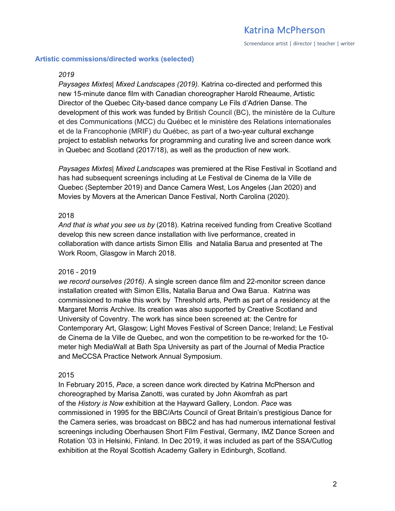Screendance artist | director | teacher | writer

#### **Artistic commissions/directed works (selected)**

#### *2019*

*Paysages Mixtes| Mixed Landscapes (2019).* Katrina co-directed and performed this new 15-minute dance film with Canadian choreographer Harold Rheaume, Artistic Director of the Quebec City-based dance company Le Fils d'Adrien Danse. The development of this work was funded by British Council (BC), the ministère de la Culture et des Communications (MCC) du Québec et le ministère des Relations internationales et de la Francophonie (MRIF) du Québec, as part of a two-year cultural exchange project to establish networks for programming and curating live and screen dance work in Quebec and Scotland (2017/18), as well as the production of new work.

*Paysages Mixtes| Mixed Landscapes* was premiered at the Rise Festival in Scotland and has had subsequent screenings including at Le Festival de Cinema de la Ville de Quebec (September 2019) and Dance Camera West, Los Angeles (Jan 2020) and Movies by Movers at the American Dance Festival, North Carolina (2020).

#### 2018

*And that is what you see us by* (2018). Katrina received funding from Creative Scotland develop this new screen dance installation with live performance, created in collaboration with dance artists Simon Ellis and Natalia Barua and presented at The Work Room, Glasgow in March 2018.

#### 2016 - 2019

*we record ourselves (2016)*. A single screen dance film and 22-monitor screen dance installation created with Simon Ellis, Natalia Barua and Owa Barua. Katrina was commissioned to make this work by Threshold arts, Perth as part of a residency at the Margaret Morris Archive. Its creation was also supported by Creative Scotland and University of Coventry. The work has since been screened at: the Centre for Contemporary Art, Glasgow; Light Moves Festival of Screen Dance; Ireland; Le Festival de Cinema de la Ville de Quebec, and won the competition to be re-worked for the 10 meter high MediaWall at Bath Spa University as part of the Journal of Media Practice and MeCCSA Practice Network Annual Symposium.

#### 2015

In February 2015, *Pace*, a screen dance work directed by Katrina McPherson and choreographed by Marisa Zanotti, was curated by John Akomfrah as part of the *History is Now* exhibition at the Hayward Gallery, London. *Pace* was commissioned in 1995 for the BBC/Arts Council of Great Britain's prestigious Dance for the Camera series, was broadcast on BBC2 and has had numerous international festival screenings including Oberhausen Short Film Festival, Germany, IMZ Dance Screen and Rotation '03 in Helsinki, Finland. In Dec 2019, it was included as part of the SSA/Cutlog exhibition at the Royal Scottish Academy Gallery in Edinburgh, Scotland.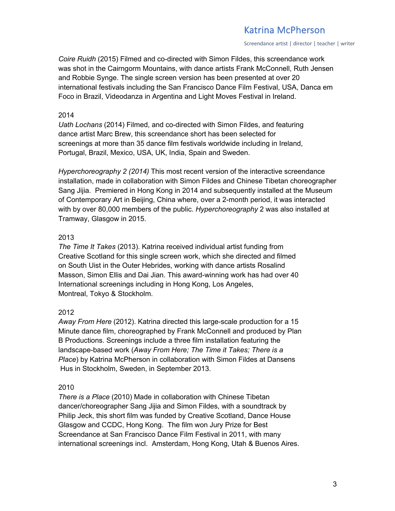Screendance artist | director | teacher | writer

*Coire Ruidh* (2015) Filmed and co-directed with Simon Fildes, this screendance work was shot in the Cairngorm Mountains, with dance artists Frank McConnell, Ruth Jensen and Robbie Synge. The single screen version has been presented at over 20 international festivals including the San Francisco Dance Film Festival, USA, Danca em Foco in Brazil, Videodanza in Argentina and Light Moves Festival in Ireland.

### 2014

*Uath Lochans* (2014) Filmed, and co-directed with Simon Fildes, and featuring dance artist Marc Brew, this screendance short has been selected for screenings at more than 35 dance film festivals worldwide including in Ireland, Portugal, Brazil, Mexico, USA, UK, India, Spain and Sweden.

*Hyperchoreography 2 (2014)* This most recent version of the interactive screendance installation, made in collaboration with Simon Fildes and Chinese Tibetan choreographer Sang Jijia. Premiered in Hong Kong in 2014 and subsequently installed at the Museum of Contemporary Art in Beijing, China where, over a 2-month period, it was interacted with by over 80,000 members of the public. *Hyperchoreography* 2 was also installed at Tramway, Glasgow in 2015.

## 2013

*The Time It Takes* (2013). Katrina received individual artist funding from Creative Scotland for this single screen work, which she directed and filmed on South Uist in the Outer Hebrides, working with dance artists Rosalind Masson, Simon Ellis and Dai Jian. This award-winning work has had over 40 International screenings including in Hong Kong, Los Angeles, Montreal, Tokyo & Stockholm.

## 2012

*Away From Here* (2012). Katrina directed this large-scale production for a 15 Minute dance film, choreographed by Frank McConnell and produced by Plan B Productions. Screenings include a three film installation featuring the landscape-based work (*Away From Here; The Time it Takes; There is a Place*) by Katrina McPherson in collaboration with Simon Fildes at Dansens Hus in Stockholm, Sweden, in September 2013.

## 2010

*There is a Place* (2010) Made in collaboration with Chinese Tibetan dancer/choreographer Sang Jijia and Simon Fildes, with a soundtrack by Philip Jeck, this short film was funded by Creative Scotland, Dance House Glasgow and CCDC, Hong Kong. The film won Jury Prize for Best Screendance at San Francisco Dance Film Festival in 2011, with many international screenings incl. Amsterdam, Hong Kong, Utah & Buenos Aires.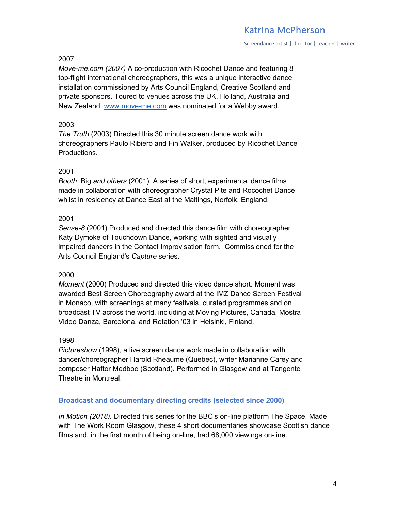Screendance artist | director | teacher | writer

#### 2007

*Move-me.com (2007)* A co-production with Ricochet Dance and featuring 8 top-flight international choreographers, this was a unique interactive dance installation commissioned by Arts Council England, Creative Scotland and private sponsors. Toured to venues across the UK, Holland, Australia and New Zealand. www.move-me.com was nominated for a Webby award.

#### 2003

*The Truth* (2003) Directed this 30 minute screen dance work with choreographers Paulo Ribiero and Fin Walker, produced by Ricochet Dance Productions.

#### 2001

*Booth*, Big *and others* (2001). A series of short, experimental dance films made in collaboration with choreographer Crystal Pite and Rocochet Dance whilst in residency at Dance East at the Maltings, Norfolk, England.

#### 2001

*Sense-8* (2001) Produced and directed this dance film with choreographer Katy Dymoke of Touchdown Dance, working with sighted and visually impaired dancers in the Contact Improvisation form. Commissioned for the Arts Council England's *Capture* series.

#### 2000

*Moment* (2000) Produced and directed this video dance short. Moment was awarded Best Screen Choreography award at the IMZ Dance Screen Festival in Monaco, with screenings at many festivals, curated programmes and on broadcast TV across the world, including at Moving Pictures, Canada, Mostra Video Danza, Barcelona, and Rotation '03 in Helsinki, Finland.

#### 1998

*Pictureshow* (1998), a live screen dance work made in collaboration with dancer/choreographer Harold Rheaume (Quebec), writer Marianne Carey and composer Haftor Medboe (Scotland). Performed in Glasgow and at Tangente Theatre in Montreal.

#### **Broadcast and documentary directing credits (selected since 2000)**

*In Motion (2018).* Directed this series for the BBC's on-line platform The Space. Made with The Work Room Glasgow, these 4 short documentaries showcase Scottish dance films and, in the first month of being on-line, had 68,000 viewings on-line.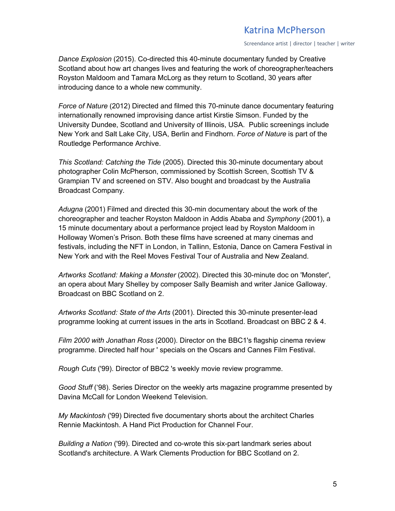Screendance artist | director | teacher | writer

*Dance Explosion* (2015). Co-directed this 40-minute documentary funded by Creative Scotland about how art changes lives and featuring the work of choreographer/teachers Royston Maldoom and Tamara McLorg as they return to Scotland, 30 years after introducing dance to a whole new community.

*Force of Nature* (2012) Directed and filmed this 70-minute dance documentary featuring internationally renowned improvising dance artist Kirstie Simson. Funded by the University Dundee, Scotland and University of Illinois, USA. Public screenings include New York and Salt Lake City, USA, Berlin and Findhorn. *Force of Nature* is part of the Routledge Performance Archive.

*This Scotland: Catching the Tide* (2005). Directed this 30-minute documentary about photographer Colin McPherson, commissioned by Scottish Screen, Scottish TV & Grampian TV and screened on STV. Also bought and broadcast by the Australia Broadcast Company.

*Adugna* (2001) Filmed and directed this 30-min documentary about the work of the choreographer and teacher Royston Maldoon in Addis Ababa and *Symphony* (2001), a 15 minute documentary about a performance project lead by Royston Maldoom in Holloway Women's Prison. Both these films have screened at many cinemas and festivals, including the NFT in London, in Tallinn, Estonia, Dance on Camera Festival in New York and with the Reel Moves Festival Tour of Australia and New Zealand.

*Artworks Scotland: Making a Monster* (2002). Directed this 30-minute doc on 'Monster', an opera about Mary Shelley by composer Sally Beamish and writer Janice Galloway. Broadcast on BBC Scotland on 2.

*Artworks Scotland: State of the Arts* (2001). Directed this 30-minute presenter-lead programme looking at current issues in the arts in Scotland. Broadcast on BBC 2 & 4.

*Film 2000 with Jonathan Ross* (2000). Director on the BBC1's flagship cinema review programme. Directed half hour ' specials on the Oscars and Cannes Film Festival.

*Rough Cuts* ('99). Director of BBC2 's weekly movie review programme.

*Good Stuff* ('98). Series Director on the weekly arts magazine programme presented by Davina McCall for London Weekend Television.

*My Mackintosh* ('99) Directed five documentary shorts about the architect Charles Rennie Mackintosh. A Hand Pict Production for Channel Four.

*Building a Nation* ('99). Directed and co-wrote this six-part landmark series about Scotland's architecture. A Wark Clements Production for BBC Scotland on 2.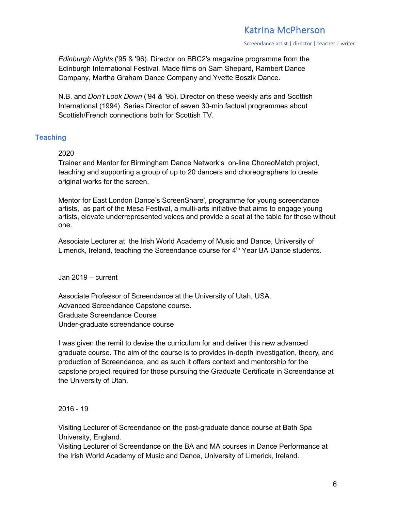Screendance artist | director | teacher | writer

*Edinburgh Nights* ('95 & '96). Director on BBC2's magazine programme from the Edinburgh International Festival. Made films on Sam Shepard, Rambert Dance Company, Martha Graham Dance Company and Yvette Boszik Dance.

N.B. and *Don't Look Down* ('94 & '95). Director on these weekly arts and Scottish International (1994). Series Director of seven 30-min factual programmes about Scottish/French connections both for Scottish TV.

## **Teaching**

### 2020

Trainer and Mentor for Birmingham Dance Network's on-line ChoreoMatch project, teaching and supporting a group of up to 20 dancers and choreographers to create original works for the screen.

Mentor for East London Dance's ScreenShare', programme for young screendance artists, as part of the Mesa Festival, a multi-arts initiative that aims to engage young artists, elevate underrepresented voices and provide a seat at the table for those without one.

Associate Lecturer at the Irish World Academy of Music and Dance, University of Limerick, Ireland, teaching the Screendance course for  $4<sup>th</sup>$  Year BA Dance students.

Jan 2019 – current

Associate Professor of Screendance at the University of Utah, USA. Advanced Screendance Capstone course. Graduate Screendance Course Under-graduate screendance course

I was given the remit to devise the curriculum for and deliver this new advanced graduate course. The aim of the course is to provides in-depth investigation, theory, and production of Screendance, and as such it offers context and mentorship for the capstone project required for those pursuing the Graduate Certificate in Screendance at the University of Utah.

## 2016 - 19

Visiting Lecturer of Screendance on the post-graduate dance course at Bath Spa University, England.

Visiting Lecturer of Screendance on the BA and MA courses in Dance Performance at the Irish World Academy of Music and Dance, University of Limerick, Ireland.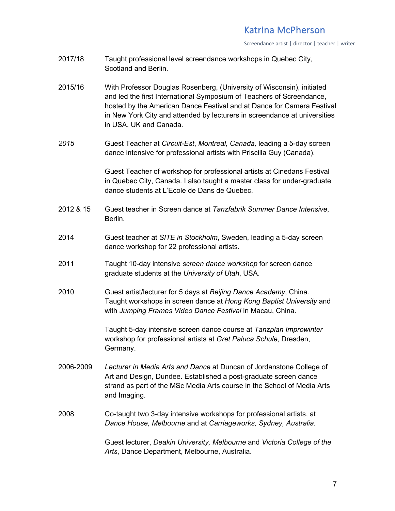Screendance artist | director | teacher | writer

- 2017/18 Taught professional level screendance workshops in Quebec City, Scotland and Berlin.
- 2015/16 With Professor Douglas Rosenberg, (University of Wisconsin), initiated and led the first International Symposium of Teachers of Screendance, hosted by the American Dance Festival and at Dance for Camera Festival in New York City and attended by lecturers in screendance at universities in USA, UK and Canada.
- *2015* Guest Teacher at *Circuit-Est*, *Montreal, Canada,* leading a 5-day screen dance intensive for professional artists with Priscilla Guy (Canada).

Guest Teacher of workshop for professional artists at Cinedans Festival in Quebec City, Canada. I also taught a master class for under-graduate dance students at L'Ecole de Dans de Quebec.

- 2012 & 15 Guest teacher in Screen dance at *Tanzfabrik Summer Dance Intensive*, Berlin.
- 2014 Guest teacher at *SITE in Stockholm*, Sweden, leading a 5-day screen dance workshop for 22 professional artists.
- 2011 Taught 10-day intensive *screen dance workshop* for screen dance graduate students at the *University of Utah*, USA.
- 2010 Guest artist/lecturer for 5 days at *Beijing Dance Academy*, China. Taught workshops in screen dance at *Hong Kong Baptist University* and with *Jumping Frames Video Dance Festival* in Macau, China.

Taught 5-day intensive screen dance course at *Tanzplan Improwinter* workshop for professional artists at *Gret Paluca Schule*, Dresden, Germany.

- 2006-2009 *Lecturer in Media Arts and Dance* at Duncan of Jordanstone College of Art and Design, Dundee. Established a post-graduate screen dance strand as part of the MSc Media Arts course in the School of Media Arts and Imaging.
- 2008 Co-taught two 3-day intensive workshops for professional artists, at *Dance House, Melbourne* and at *Carriageworks, Sydney, Australia.*

Guest lecturer, *Deakin University, Melbourne* and *Victoria College of the Arts*, Dance Department, Melbourne, Australia.